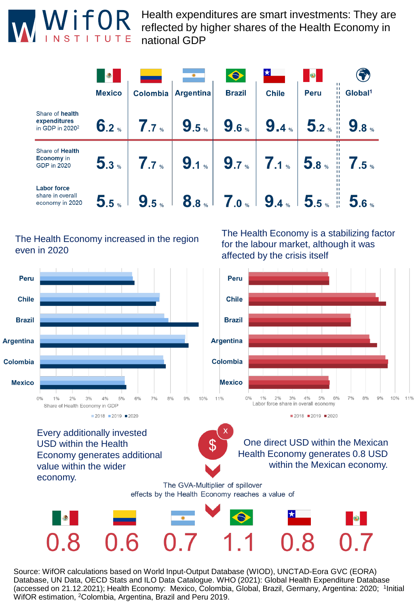

Health expenditures are smart investments: They are reflected by higher shares of the Health Economy in national GDP

|                                                                | $\bigcirc$       |                  |                  | $\bullet$                            |              | 8                | $\mathbf{H}$                                       |
|----------------------------------------------------------------|------------------|------------------|------------------|--------------------------------------|--------------|------------------|----------------------------------------------------|
|                                                                | <b>Mexico</b>    | <b>Colombia</b>  | <b>Argentina</b> | <b>Brazil</b>                        | <b>Chile</b> | <b>Peru</b>      | п<br>Global <sup>1</sup><br>$\mathbf{H}$<br>ш<br>п |
| Share of health<br>expenditures<br>in GDP in 2020 <sup>2</sup> | $6.2*$           | 7.7 <sub>•</sub> | 9.5%             | 9.6%                                 | 9.4%         | $5.2*$           | 9.8 <sub>8</sub>                                   |
| Share of Health<br><b>Economy</b> in<br>GDP in 2020            | 5.3 <sub>8</sub> | $7.7^{\circ}$    | $9.1*$           | $9.7$ %                              | $7.1*$       | 5.8 <sub>8</sub> | $7.5$ %<br>쀼                                       |
| <b>Labor force</b><br>share in overall<br>economy in 2020      | 5.5%             | 9.5%             | 8.8 <sup>°</sup> | $\overline{7}$ .0 $\scriptstyle\ast$ | 9.4%         | $5.5*$           | 5.6%                                               |

## The Health Economy increased in the region even in 2020

The Health Economy is a stabilizing factor for the labour market, although it was affected by the crisis itself



effects by the Health Economy reaches a value of



Source: WifOR calculations based on World Input-Output Database (WIOD), UNCTAD-Eora GVC (EORA) Database, UN Data, OECD Stats and ILO Data Catalogue. WHO (2021): Global Health Expenditure Database (accessed on 21.12.2021); Health Economy: Mexico, Colombia, Global, Brazil, Germany, Argentina: 2020; <sup>1</sup>Initial WifOR estimation, <sup>2</sup>Colombia, Argentina, Brazil and Peru 2019.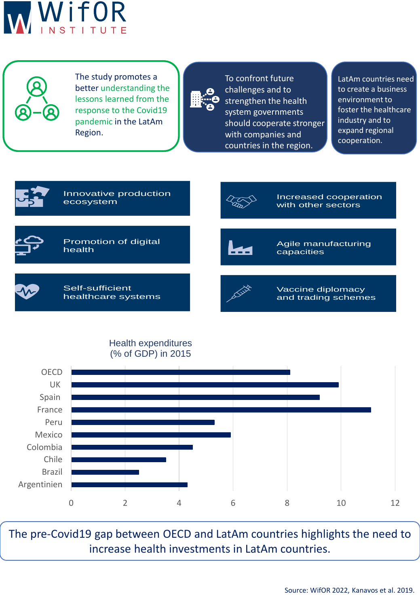



The study promotes a better understanding the lessons learned from the response to the Covid19 pandemic in the LatAm Region.



To confront future challenges and to strengthen the health system governments should cooperate stronger with companies and countries in the region.

LatAm countries need to create a business environment to foster the healthcare industry and to expand regional cooperation.







The pre-Covid19 gap between OECD and LatAm countries highlights the need to increase health investments in LatAm countries.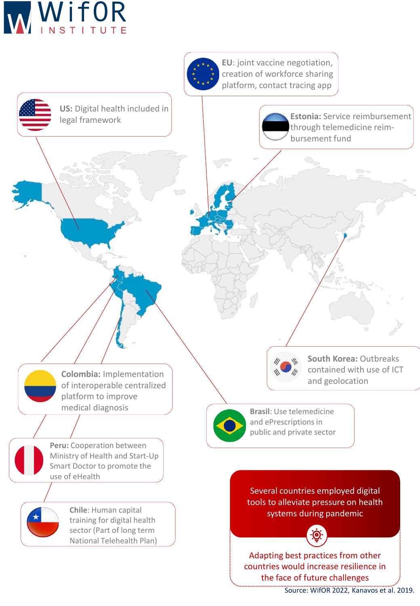